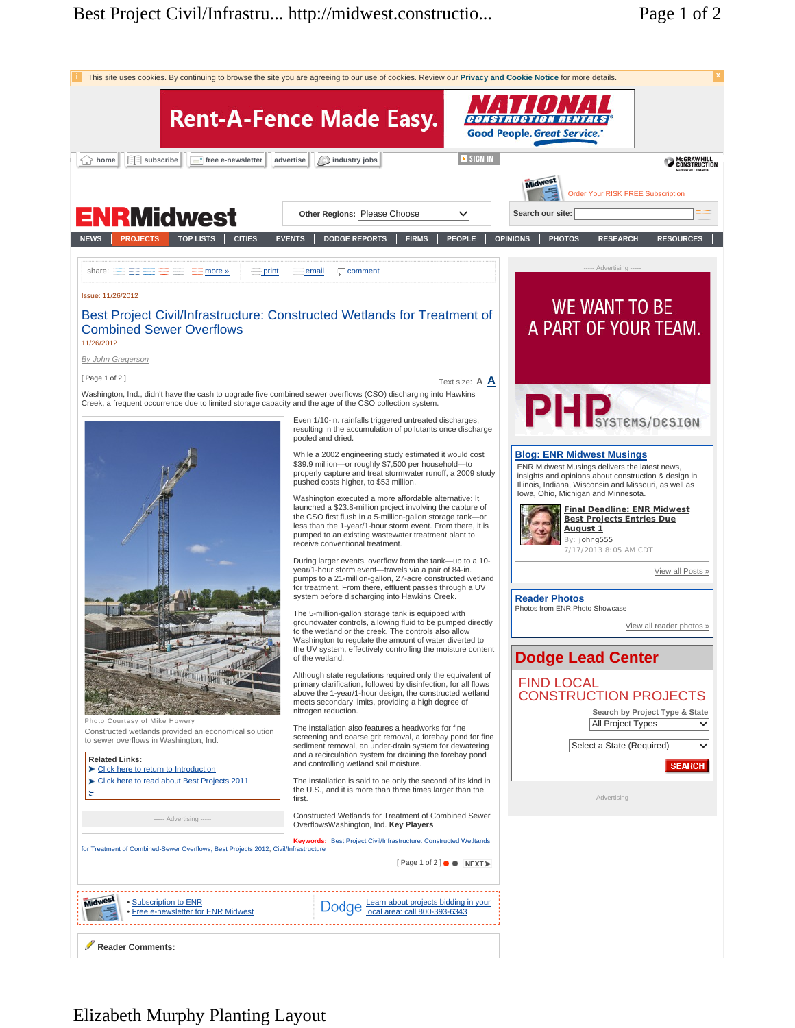

## Elizabeth Murphy Planting Layout